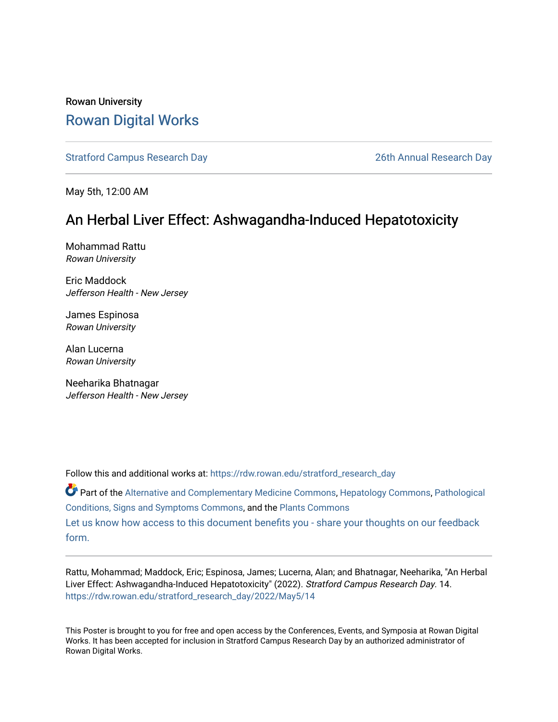#### Rowan University [Rowan Digital Works](https://rdw.rowan.edu/)

[Stratford Campus Research Day](https://rdw.rowan.edu/stratford_research_day) [26th Annual Research Day](https://rdw.rowan.edu/stratford_research_day/2022) 

May 5th, 12:00 AM

#### An Herbal Liver Effect: Ashwagandha-Induced Hepatotoxicity

Mohammad Rattu Rowan University

Eric Maddock Jefferson Health - New Jersey

James Espinosa Rowan University

Alan Lucerna Rowan University

Neeharika Bhatnagar Jefferson Health - New Jersey

Follow this and additional works at: [https://rdw.rowan.edu/stratford\\_research\\_day](https://rdw.rowan.edu/stratford_research_day?utm_source=rdw.rowan.edu%2Fstratford_research_day%2F2022%2FMay5%2F14&utm_medium=PDF&utm_campaign=PDFCoverPages)

Part of the [Alternative and Complementary Medicine Commons,](https://network.bepress.com/hgg/discipline/649?utm_source=rdw.rowan.edu%2Fstratford_research_day%2F2022%2FMay5%2F14&utm_medium=PDF&utm_campaign=PDFCoverPages) [Hepatology Commons,](https://network.bepress.com/hgg/discipline/1060?utm_source=rdw.rowan.edu%2Fstratford_research_day%2F2022%2FMay5%2F14&utm_medium=PDF&utm_campaign=PDFCoverPages) [Pathological](https://network.bepress.com/hgg/discipline/1004?utm_source=rdw.rowan.edu%2Fstratford_research_day%2F2022%2FMay5%2F14&utm_medium=PDF&utm_campaign=PDFCoverPages)  [Conditions, Signs and Symptoms Commons,](https://network.bepress.com/hgg/discipline/1004?utm_source=rdw.rowan.edu%2Fstratford_research_day%2F2022%2FMay5%2F14&utm_medium=PDF&utm_campaign=PDFCoverPages) and the [Plants Commons](https://network.bepress.com/hgg/discipline/959?utm_source=rdw.rowan.edu%2Fstratford_research_day%2F2022%2FMay5%2F14&utm_medium=PDF&utm_campaign=PDFCoverPages)  [Let us know how access to this document benefits you - share your thoughts on our feedback](https://www.lib.rowan.edu/rdw-feedback?ref=https://rdw.rowan.edu/stratford_research_day/2022/May5/14) [form.](https://www.lib.rowan.edu/rdw-feedback?ref=https://rdw.rowan.edu/stratford_research_day/2022/May5/14)

Rattu, Mohammad; Maddock, Eric; Espinosa, James; Lucerna, Alan; and Bhatnagar, Neeharika, "An Herbal Liver Effect: Ashwagandha-Induced Hepatotoxicity" (2022). Stratford Campus Research Day. 14. [https://rdw.rowan.edu/stratford\\_research\\_day/2022/May5/14](https://rdw.rowan.edu/stratford_research_day/2022/May5/14?utm_source=rdw.rowan.edu%2Fstratford_research_day%2F2022%2FMay5%2F14&utm_medium=PDF&utm_campaign=PDFCoverPages) 

This Poster is brought to you for free and open access by the Conferences, Events, and Symposia at Rowan Digital Works. It has been accepted for inclusion in Stratford Campus Research Day by an authorized administrator of Rowan Digital Works.